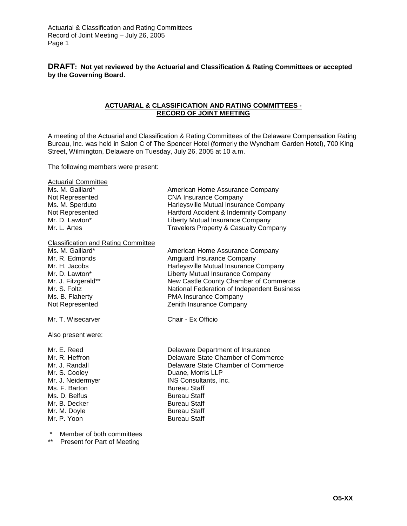**DRAFT: Not yet reviewed by the Actuarial and Classification & Rating Committees or accepted by the Governing Board.** 

# **ACTUARIAL & CLASSIFICATION AND RATING COMMITTEES - RECORD OF JOINT MEETING**

A meeting of the Actuarial and Classification & Rating Committees of the Delaware Compensation Rating Bureau, Inc. was held in Salon C of The Spencer Hotel (formerly the Wyndham Garden Hotel), 700 King Street, Wilmington, Delaware on Tuesday, July 26, 2005 at 10 a.m.

The following members were present:

| <b>Actuarial Committee</b><br>Ms. M. Gaillard*<br>Not Represented<br>Ms. M. Sperduto<br>Not Represented<br>Mr. D. Lawton*<br>Mr. L. Artes                                                        | American Home Assurance Company<br><b>CNA Insurance Company</b><br>Harleysville Mutual Insurance Company<br>Hartford Accident & Indemnity Company<br>Liberty Mutual Insurance Company<br><b>Travelers Property &amp; Casualty Company</b>                                              |
|--------------------------------------------------------------------------------------------------------------------------------------------------------------------------------------------------|----------------------------------------------------------------------------------------------------------------------------------------------------------------------------------------------------------------------------------------------------------------------------------------|
| <b>Classification and Rating Committee</b><br>Ms. M. Gaillard*<br>Mr. R. Edmonds<br>Mr. H. Jacobs<br>Mr. D. Lawton*<br>Mr. J. Fitzgerald**<br>Mr. S. Foltz<br>Ms. B. Flaherty<br>Not Represented | American Home Assurance Company<br>Amguard Insurance Company<br>Harleysville Mutual Insurance Company<br>Liberty Mutual Insurance Company<br>New Castle County Chamber of Commerce<br>National Federation of Independent Business<br>PMA Insurance Company<br>Zenith Insurance Company |
| Mr. T. Wisecarver                                                                                                                                                                                | Chair - Ex Officio                                                                                                                                                                                                                                                                     |
| Also present were:                                                                                                                                                                               |                                                                                                                                                                                                                                                                                        |
| Mr. E. Reed<br>Mr. R. Heffron<br>Mr. J. Randall<br>Mr. S. Cooley<br>Mr. J. Neidermyer<br>Ms. F. Barton<br>Ms. D. Belfus<br>Mr. B. Decker<br>Mr. M. Doyle<br>Mr. P. Yoon                          | Delaware Department of Insurance<br>Delaware State Chamber of Commerce<br>Delaware State Chamber of Commerce<br>Duane, Morris LLP<br>INS Consultants, Inc.<br><b>Bureau Staff</b><br><b>Bureau Staff</b><br><b>Bureau Staff</b><br><b>Bureau Staff</b><br><b>Bureau Staff</b>          |

Member of both committees

\*\* Present for Part of Meeting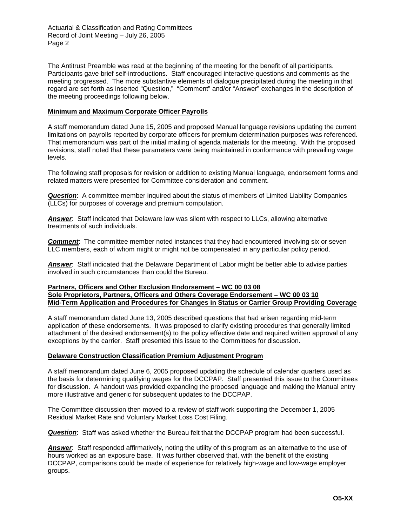The Antitrust Preamble was read at the beginning of the meeting for the benefit of all participants. Participants gave brief self-introductions. Staff encouraged interactive questions and comments as the meeting progressed. The more substantive elements of dialogue precipitated during the meeting in that regard are set forth as inserted "Question," "Comment" and/or "Answer" exchanges in the description of the meeting proceedings following below.

# **Minimum and Maximum Corporate Officer Payrolls**

A staff memorandum dated June 15, 2005 and proposed Manual language revisions updating the current limitations on payrolls reported by corporate officers for premium determination purposes was referenced. That memorandum was part of the initial mailing of agenda materials for the meeting. With the proposed revisions, staff noted that these parameters were being maintained in conformance with prevailing wage levels.

The following staff proposals for revision or addition to existing Manual language, endorsement forms and related matters were presented for Committee consideration and comment.

*Question*: A committee member inquired about the status of members of Limited Liability Companies (LLCs) for purposes of coverage and premium computation.

*Answer*: Staff indicated that Delaware law was silent with respect to LLCs, allowing alternative treatments of such individuals.

*Comment*: The committee member noted instances that they had encountered involving six or seven LLC members, each of whom might or might not be compensated in any particular policy period.

*Answer*: Staff indicated that the Delaware Department of Labor might be better able to advise parties involved in such circumstances than could the Bureau.

# **Partners, Officers and Other Exclusion Endorsement – WC 00 03 08 Sole Proprietors, Partners, Officers and Others Coverage Endorsement – WC 00 03 10 Mid-Term Application and Procedures for Changes in Status or Carrier Group Providing Coverage**

A staff memorandum dated June 13, 2005 described questions that had arisen regarding mid-term application of these endorsements. It was proposed to clarify existing procedures that generally limited attachment of the desired endorsement(s) to the policy effective date and required written approval of any exceptions by the carrier. Staff presented this issue to the Committees for discussion.

# **Delaware Construction Classification Premium Adjustment Program**

A staff memorandum dated June 6, 2005 proposed updating the schedule of calendar quarters used as the basis for determining qualifying wages for the DCCPAP. Staff presented this issue to the Committees for discussion. A handout was provided expanding the proposed language and making the Manual entry more illustrative and generic for subsequent updates to the DCCPAP.

The Committee discussion then moved to a review of staff work supporting the December 1, 2005 Residual Market Rate and Voluntary Market Loss Cost Filing.

*Question*: Staff was asked whether the Bureau felt that the DCCPAP program had been successful.

*Answer*: Staff responded affirmatively, noting the utility of this program as an alternative to the use of hours worked as an exposure base. It was further observed that, with the benefit of the existing DCCPAP, comparisons could be made of experience for relatively high-wage and low-wage employer groups.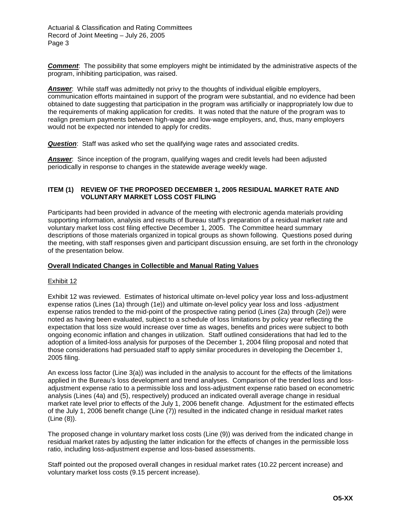**Comment**: The possibility that some employers might be intimidated by the administrative aspects of the program, inhibiting participation, was raised.

*Answer*: While staff was admittedly not privy to the thoughts of individual eligible employers, communication efforts maintained in support of the program were substantial, and no evidence had been obtained to date suggesting that participation in the program was artificially or inappropriately low due to the requirements of making application for credits. It was noted that the nature of the program was to realign premium payments between high-wage and low-wage employers, and, thus, many employers would not be expected nor intended to apply for credits.

*Question:* Staff was asked who set the qualifying wage rates and associated credits.

**Answer**: Since inception of the program, qualifying wages and credit levels had been adjusted periodically in response to changes in the statewide average weekly wage.

# **ITEM (1) REVIEW OF THE PROPOSED DECEMBER 1, 2005 RESIDUAL MARKET RATE AND VOLUNTARY MARKET LOSS COST FILING**

Participants had been provided in advance of the meeting with electronic agenda materials providing supporting information, analysis and results of Bureau staff's preparation of a residual market rate and voluntary market loss cost filing effective December 1, 2005. The Committee heard summary descriptions of those materials organized in topical groups as shown following. Questions posed during the meeting, with staff responses given and participant discussion ensuing, are set forth in the chronology of the presentation below.

# **Overall Indicated Changes in Collectible and Manual Rating Values**

# Exhibit 12

Exhibit 12 was reviewed. Estimates of historical ultimate on-level policy year loss and loss-adjustment expense ratios (Lines (1a) through (1e)) and ultimate on-level policy year loss and loss -adjustment expense ratios trended to the mid-point of the prospective rating period (Lines (2a) through (2e)) were noted as having been evaluated, subject to a schedule of loss limitations by policy year reflecting the expectation that loss size would increase over time as wages, benefits and prices were subject to both ongoing economic inflation and changes in utilization. Staff outlined considerations that had led to the adoption of a limited-loss analysis for purposes of the December 1, 2004 filing proposal and noted that those considerations had persuaded staff to apply similar procedures in developing the December 1, 2005 filing.

An excess loss factor (Line 3(a)) was included in the analysis to account for the effects of the limitations applied in the Bureau's loss development and trend analyses. Comparison of the trended loss and lossadjustment expense ratio to a permissible loss and loss-adjustment expense ratio based on econometric analysis (Lines (4a) and (5), respectively) produced an indicated overall average change in residual market rate level prior to effects of the July 1, 2006 benefit change. Adjustment for the estimated effects of the July 1, 2006 benefit change (Line (7)) resulted in the indicated change in residual market rates (Line (8)).

The proposed change in voluntary market loss costs (Line (9)) was derived from the indicated change in residual market rates by adjusting the latter indication for the effects of changes in the permissible loss ratio, including loss-adjustment expense and loss-based assessments.

Staff pointed out the proposed overall changes in residual market rates (10.22 percent increase) and voluntary market loss costs (9.15 percent increase).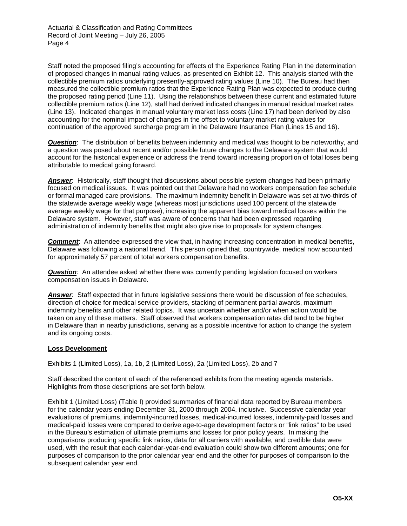Staff noted the proposed filing's accounting for effects of the Experience Rating Plan in the determination of proposed changes in manual rating values, as presented on Exhibit 12. This analysis started with the collectible premium ratios underlying presently-approved rating values (Line 10). The Bureau had then measured the collectible premium ratios that the Experience Rating Plan was expected to produce during the proposed rating period (Line 11). Using the relationships between these current and estimated future collectible premium ratios (Line 12), staff had derived indicated changes in manual residual market rates (Line 13). Indicated changes in manual voluntary market loss costs (Line 17) had been derived by also accounting for the nominal impact of changes in the offset to voluntary market rating values for continuation of the approved surcharge program in the Delaware Insurance Plan (Lines 15 and 16).

*Question*: The distribution of benefits between indemnity and medical was thought to be noteworthy, and a question was posed about recent and/or possible future changes to the Delaware system that would account for the historical experience or address the trend toward increasing proportion of total loses being attributable to medical going forward.

*Answer*: Historically, staff thought that discussions about possible system changes had been primarily focused on medical issues. It was pointed out that Delaware had no workers compensation fee schedule or formal managed care provisions. The maximum indemnity benefit in Delaware was set at two-thirds of the statewide average weekly wage (whereas most jurisdictions used 100 percent of the statewide average weekly wage for that purpose), increasing the apparent bias toward medical losses within the Delaware system. However, staff was aware of concerns that had been expressed regarding administration of indemnity benefits that might also give rise to proposals for system changes.

*Comment*: An attendee expressed the view that, in having increasing concentration in medical benefits, Delaware was following a national trend. This person opined that, countrywide, medical now accounted for approximately 57 percent of total workers compensation benefits.

*Question*: An attendee asked whether there was currently pending legislation focused on workers compensation issues in Delaware.

*Answer*: Staff expected that in future legislative sessions there would be discussion of fee schedules, direction of choice for medical service providers, stacking of permanent partial awards, maximum indemnity benefits and other related topics. It was uncertain whether and/or when action would be taken on any of these matters. Staff observed that workers compensation rates did tend to be higher in Delaware than in nearby jurisdictions, serving as a possible incentive for action to change the system and its ongoing costs.

# **Loss Development**

Exhibits 1 (Limited Loss), 1a, 1b, 2 (Limited Loss), 2a (Limited Loss), 2b and 7

Staff described the content of each of the referenced exhibits from the meeting agenda materials. Highlights from those descriptions are set forth below.

Exhibit 1 (Limited Loss) (Table I) provided summaries of financial data reported by Bureau members for the calendar years ending December 31, 2000 through 2004, inclusive. Successive calendar year evaluations of premiums, indemnity-incurred losses, medical-incurred losses, indemnity-paid losses and medical-paid losses were compared to derive age-to-age development factors or "link ratios" to be used in the Bureau's estimation of ultimate premiums and losses for prior policy years. In making the comparisons producing specific link ratios, data for all carriers with available, and credible data were used, with the result that each calendar-year-end evaluation could show two different amounts; one for purposes of comparison to the prior calendar year end and the other for purposes of comparison to the subsequent calendar year end.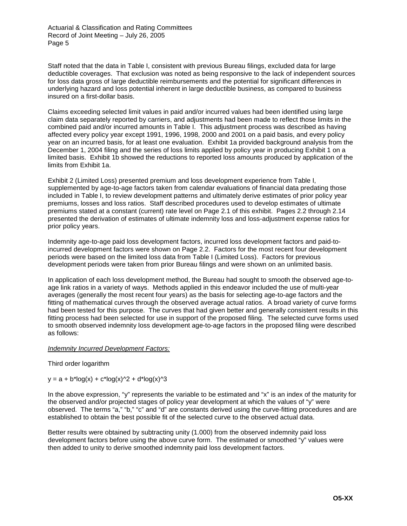Staff noted that the data in Table I, consistent with previous Bureau filings, excluded data for large deductible coverages. That exclusion was noted as being responsive to the lack of independent sources for loss data gross of large deductible reimbursements and the potential for significant differences in underlying hazard and loss potential inherent in large deductible business, as compared to business insured on a first-dollar basis.

Claims exceeding selected limit values in paid and/or incurred values had been identified using large claim data separately reported by carriers, and adjustments had been made to reflect those limits in the combined paid and/or incurred amounts in Table I. This adjustment process was described as having affected every policy year except 1991, 1996, 1998, 2000 and 2001 on a paid basis, and every policy year on an incurred basis, for at least one evaluation. Exhibit 1a provided background analysis from the December 1, 2004 filing and the series of loss limits applied by policy year in producing Exhibit 1 on a limited basis. Exhibit 1b showed the reductions to reported loss amounts produced by application of the limits from Exhibit 1a.

Exhibit 2 (Limited Loss) presented premium and loss development experience from Table I, supplemented by age-to-age factors taken from calendar evaluations of financial data predating those included in Table I, to review development patterns and ultimately derive estimates of prior policy year premiums, losses and loss ratios. Staff described procedures used to develop estimates of ultimate premiums stated at a constant (current) rate level on Page 2.1 of this exhibit. Pages 2.2 through 2.14 presented the derivation of estimates of ultimate indemnity loss and loss-adjustment expense ratios for prior policy years.

Indemnity age-to-age paid loss development factors, incurred loss development factors and paid-toincurred development factors were shown on Page 2.2. Factors for the most recent four development periods were based on the limited loss data from Table I (Limited Loss). Factors for previous development periods were taken from prior Bureau filings and were shown on an unlimited basis.

In application of each loss development method, the Bureau had sought to smooth the observed age-toage link ratios in a variety of ways. Methods applied in this endeavor included the use of multi-year averages (generally the most recent four years) as the basis for selecting age-to-age factors and the fitting of mathematical curves through the observed average actual ratios. A broad variety of curve forms had been tested for this purpose. The curves that had given better and generally consistent results in this fitting process had been selected for use in support of the proposed filing. The selected curve forms used to smooth observed indemnity loss development age-to-age factors in the proposed filing were described as follows:

# *Indemnity Incurred Development Factors:*

Third order logarithm

 $y = a + b*log(x) + c*log(x)<sup>2</sup> + d*log(x)<sup>3</sup>$ 

In the above expression, "y" represents the variable to be estimated and "x" is an index of the maturity for the observed and/or projected stages of policy year development at which the values of "y" were observed. The terms "a," "b," "c" and "d" are constants derived using the curve-fitting procedures and are established to obtain the best possible fit of the selected curve to the observed actual data.

Better results were obtained by subtracting unity (1.000) from the observed indemnity paid loss development factors before using the above curve form. The estimated or smoothed "y" values were then added to unity to derive smoothed indemnity paid loss development factors.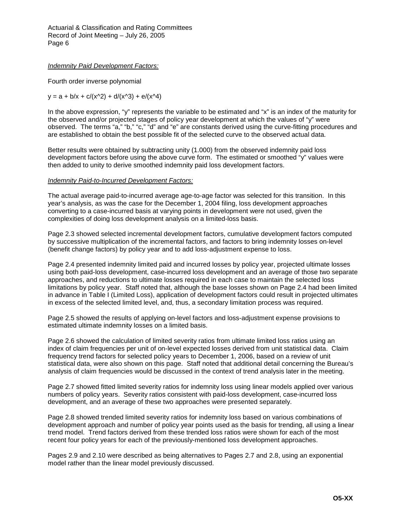# *Indemnity Paid Development Factors:*

Fourth order inverse polynomial

 $y = a + b/x + c/(x^2) + d/(x^3) + e/(x^4)$ 

In the above expression, "y" represents the variable to be estimated and "x" is an index of the maturity for the observed and/or projected stages of policy year development at which the values of "y" were observed. The terms "a," "b," "c," "d" and "e" are constants derived using the curve-fitting procedures and are established to obtain the best possible fit of the selected curve to the observed actual data.

Better results were obtained by subtracting unity (1.000) from the observed indemnity paid loss development factors before using the above curve form. The estimated or smoothed "y" values were then added to unity to derive smoothed indemnity paid loss development factors.

# *Indemnity Paid-to-Incurred Development Factors:*

The actual average paid-to-incurred average age-to-age factor was selected for this transition. In this year's analysis, as was the case for the December 1, 2004 filing, loss development approaches converting to a case-incurred basis at varying points in development were not used, given the complexities of doing loss development analysis on a limited-loss basis.

Page 2.3 showed selected incremental development factors, cumulative development factors computed by successive multiplication of the incremental factors, and factors to bring indemnity losses on-level (benefit change factors) by policy year and to add loss-adjustment expense to loss.

Page 2.4 presented indemnity limited paid and incurred losses by policy year, projected ultimate losses using both paid-loss development, case-incurred loss development and an average of those two separate approaches, and reductions to ultimate losses required in each case to maintain the selected loss limitations by policy year. Staff noted that, although the base losses shown on Page 2.4 had been limited in advance in Table I (Limited Loss), application of development factors could result in projected ultimates in excess of the selected limited level, and, thus, a secondary limitation process was required.

Page 2.5 showed the results of applying on-level factors and loss-adjustment expense provisions to estimated ultimate indemnity losses on a limited basis.

Page 2.6 showed the calculation of limited severity ratios from ultimate limited loss ratios using an index of claim frequencies per unit of on-level expected losses derived from unit statistical data. Claim frequency trend factors for selected policy years to December 1, 2006, based on a review of unit statistical data, were also shown on this page. Staff noted that additional detail concerning the Bureau's analysis of claim frequencies would be discussed in the context of trend analysis later in the meeting.

Page 2.7 showed fitted limited severity ratios for indemnity loss using linear models applied over various numbers of policy years. Severity ratios consistent with paid-loss development, case-incurred loss development, and an average of these two approaches were presented separately.

Page 2.8 showed trended limited severity ratios for indemnity loss based on various combinations of development approach and number of policy year points used as the basis for trending, all using a linear trend model. Trend factors derived from these trended loss ratios were shown for each of the most recent four policy years for each of the previously-mentioned loss development approaches.

Pages 2.9 and 2.10 were described as being alternatives to Pages 2.7 and 2.8, using an exponential model rather than the linear model previously discussed.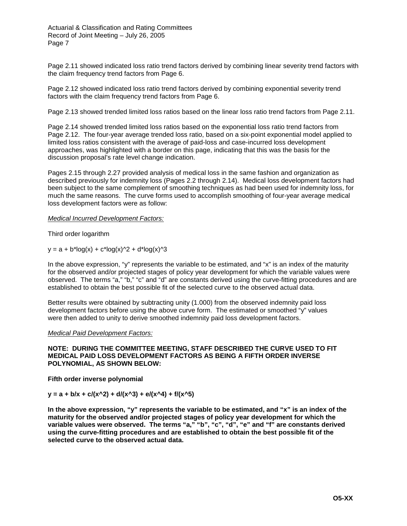Page 2.11 showed indicated loss ratio trend factors derived by combining linear severity trend factors with the claim frequency trend factors from Page 6.

Page 2.12 showed indicated loss ratio trend factors derived by combining exponential severity trend factors with the claim frequency trend factors from Page 6.

Page 2.13 showed trended limited loss ratios based on the linear loss ratio trend factors from Page 2.11.

Page 2.14 showed trended limited loss ratios based on the exponential loss ratio trend factors from Page 2.12. The four-year average trended loss ratio, based on a six-point exponential model applied to limited loss ratios consistent with the average of paid-loss and case-incurred loss development approaches, was highlighted with a border on this page, indicating that this was the basis for the discussion proposal's rate level change indication.

Pages 2.15 through 2.27 provided analysis of medical loss in the same fashion and organization as described previously for indemnity loss (Pages 2.2 through 2.14). Medical loss development factors had been subject to the same complement of smoothing techniques as had been used for indemnity loss, for much the same reasons. The curve forms used to accomplish smoothing of four-year average medical loss development factors were as follow:

*Medical Incurred Development Factors:*

Third order logarithm

 $y = a + b*log(x) + c*log(x)<sup>2</sup> + d*log(x)<sup>3</sup>$ 

In the above expression, "y" represents the variable to be estimated, and "x" is an index of the maturity for the observed and/or projected stages of policy year development for which the variable values were observed. The terms "a," "b," "c" and "d" are constants derived using the curve-fitting procedures and are established to obtain the best possible fit of the selected curve to the observed actual data.

Better results were obtained by subtracting unity (1.000) from the observed indemnity paid loss development factors before using the above curve form. The estimated or smoothed "y" values were then added to unity to derive smoothed indemnity paid loss development factors.

*Medical Paid Development Factors:*

## **NOTE: DURING THE COMMITTEE MEETING, STAFF DESCRIBED THE CURVE USED TO FIT MEDICAL PAID LOSS DEVELOPMENT FACTORS AS BEING A FIFTH ORDER INVERSE POLYNOMIAL, AS SHOWN BELOW:**

**Fifth order inverse polynomial** 

 $y = a + b/x + c/(x^2) + d/(x^3) + e/(x^4) + f/(x^5)$ 

**In the above expression, "y" represents the variable to be estimated, and "x" is an index of the maturity for the observed and/or projected stages of policy year development for which the variable values were observed. The terms "a," "b", "c", "d", "e" and "f" are constants derived using the curve-fitting procedures and are established to obtain the best possible fit of the selected curve to the observed actual data.**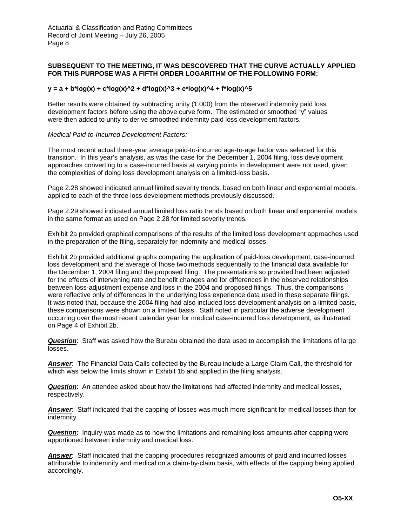# **SUBSEQUENT TO THE MEETING, IT WAS DESCOVERED THAT THE CURVE ACTUALLY APPLIED FOR THIS PURPOSE WAS A FIFTH ORDER LOGARITHM OF THE FOLLOWING FORM:**

## $y = a + b*log(x) + c*log(x)^2 + d*log(x)^3 + e*log(x)^4 + f*log(x)^5$

Better results were obtained by subtracting unity (1.000) from the observed indemnity paid loss development factors before using the above curve form. The estimated or smoothed "y" values were then added to unity to derive smoothed indemnity paid loss development factors.

## *Medical Paid-to-Incurred Development Factors:*

The most recent actual three-year average paid-to-incurred age-to-age factor was selected for this transition. In this year's analysis, as was the case for the December 1, 2004 filing, loss development approaches converting to a case-incurred basis at varying points in development were not used, given the complexities of doing loss development analysis on a limited-loss basis.

Page 2.28 showed indicated annual limited severity trends, based on both linear and exponential models, applied to each of the three loss development methods previously discussed.

Page 2.29 showed indicated annual limited loss ratio trends based on both linear and exponential models in the same format as used on Page 2.28 for limited severity trends.

Exhibit 2a provided graphical comparisons of the results of the limited loss development approaches used in the preparation of the filing, separately for indemnity and medical losses.

Exhibit 2b provided additional graphs comparing the application of paid-loss development, case-incurred loss development and the average of those two methods sequentially to the financial data available for the December 1, 2004 filing and the proposed filing. The presentations so provided had been adjusted for the effects of intervening rate and benefit changes and for differences in the observed relationships between loss-adjustment expense and loss in the 2004 and proposed filings. Thus, the comparisons were reflective only of differences in the underlying loss experience data used in these separate filings. It was noted that, because the 2004 filing had also included loss development analysis on a limited basis, these comparisons were shown on a limited basis. Staff noted in particular the adverse development occurring over the most recent calendar year for medical case-incurred loss development, as illustrated on Page 4 of Exhibit 2b.

*Question*: Staff was asked how the Bureau obtained the data used to accomplish the limitations of large losses.

*Answer*: The Financial Data Calls collected by the Bureau include a Large Claim Call, the threshold for which was below the limits shown in Exhibit 1b and applied in the filing analysis.

*Question*: An attendee asked about how the limitations had affected indemnity and medical losses, respectively.

*Answer*: Staff indicated that the capping of losses was much more significant for medical losses than for indemnity.

*Question:* Inquiry was made as to how the limitations and remaining loss amounts after capping were apportioned between indemnity and medical loss.

**Answer**: Staff indicated that the capping procedures recognized amounts of paid and incurred losses attributable to indemnity and medical on a claim-by-claim basis, with effects of the capping being applied accordingly.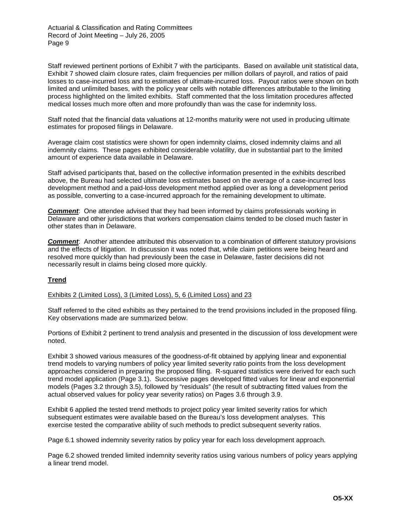Staff reviewed pertinent portions of Exhibit 7 with the participants. Based on available unit statistical data, Exhibit 7 showed claim closure rates, claim frequencies per million dollars of payroll, and ratios of paid losses to case-incurred loss and to estimates of ultimate-incurred loss. Payout ratios were shown on both limited and unlimited bases, with the policy year cells with notable differences attributable to the limiting process highlighted on the limited exhibits. Staff commented that the loss limitation procedures affected medical losses much more often and more profoundly than was the case for indemnity loss.

Staff noted that the financial data valuations at 12-months maturity were not used in producing ultimate estimates for proposed filings in Delaware.

Average claim cost statistics were shown for open indemnity claims, closed indemnity claims and all indemnity claims. These pages exhibited considerable volatility, due in substantial part to the limited amount of experience data available in Delaware.

Staff advised participants that, based on the collective information presented in the exhibits described above, the Bureau had selected ultimate loss estimates based on the average of a case-incurred loss development method and a paid-loss development method applied over as long a development period as possible, converting to a case-incurred approach for the remaining development to ultimate.

**Comment**: One attendee advised that they had been informed by claims professionals working in Delaware and other jurisdictions that workers compensation claims tended to be closed much faster in other states than in Delaware.

**Comment**: Another attendee attributed this observation to a combination of different statutory provisions and the effects of litigation. In discussion it was noted that, while claim petitions were being heard and resolved more quickly than had previously been the case in Delaware, faster decisions did not necessarily result in claims being closed more quickly.

# **Trend**

Exhibits 2 (Limited Loss), 3 (Limited Loss), 5, 6 (Limited Loss) and 23

Staff referred to the cited exhibits as they pertained to the trend provisions included in the proposed filing. Key observations made are summarized below.

Portions of Exhibit 2 pertinent to trend analysis and presented in the discussion of loss development were noted.

Exhibit 3 showed various measures of the goodness-of-fit obtained by applying linear and exponential trend models to varying numbers of policy year limited severity ratio points from the loss development approaches considered in preparing the proposed filing. R-squared statistics were derived for each such trend model application (Page 3.1). Successive pages developed fitted values for linear and exponential models (Pages 3.2 through 3.5), followed by "residuals" (the result of subtracting fitted values from the actual observed values for policy year severity ratios) on Pages 3.6 through 3.9.

Exhibit 6 applied the tested trend methods to project policy year limited severity ratios for which subsequent estimates were available based on the Bureau's loss development analyses. This exercise tested the comparative ability of such methods to predict subsequent severity ratios.

Page 6.1 showed indemnity severity ratios by policy year for each loss development approach.

Page 6.2 showed trended limited indemnity severity ratios using various numbers of policy years applying a linear trend model.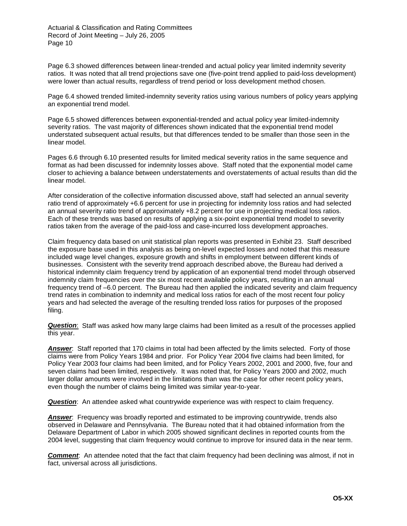Page 6.3 showed differences between linear-trended and actual policy year limited indemnity severity ratios. It was noted that all trend projections save one (five-point trend applied to paid-loss development) were lower than actual results, regardless of trend period or loss development method chosen.

Page 6.4 showed trended limited-indemnity severity ratios using various numbers of policy years applying an exponential trend model.

Page 6.5 showed differences between exponential-trended and actual policy year limited-indemnity severity ratios. The vast majority of differences shown indicated that the exponential trend model understated subsequent actual results, but that differences tended to be smaller than those seen in the linear model.

Pages 6.6 through 6.10 presented results for limited medical severity ratios in the same sequence and format as had been discussed for indemnity losses above. Staff noted that the exponential model came closer to achieving a balance between understatements and overstatements of actual results than did the linear model.

After consideration of the collective information discussed above, staff had selected an annual severity ratio trend of approximately +6.6 percent for use in projecting for indemnity loss ratios and had selected an annual severity ratio trend of approximately +8.2 percent for use in projecting medical loss ratios. Each of these trends was based on results of applying a six-point exponential trend model to severity ratios taken from the average of the paid-loss and case-incurred loss development approaches.

Claim frequency data based on unit statistical plan reports was presented in Exhibit 23. Staff described the exposure base used in this analysis as being on-level expected losses and noted that this measure included wage level changes, exposure growth and shifts in employment between different kinds of businesses. Consistent with the severity trend approach described above, the Bureau had derived a historical indemnity claim frequency trend by application of an exponential trend model through observed indemnity claim frequencies over the six most recent available policy years, resulting in an annual frequency trend of –6.0 percent. The Bureau had then applied the indicated severity and claim frequency trend rates in combination to indemnity and medical loss ratios for each of the most recent four policy years and had selected the average of the resulting trended loss ratios for purposes of the proposed filing.

*Question*: Staff was asked how many large claims had been limited as a result of the processes applied this year.

**Answer**: Staff reported that 170 claims in total had been affected by the limits selected. Forty of those claims were from Policy Years 1984 and prior. For Policy Year 2004 five claims had been limited, for Policy Year 2003 four claims had been limited, and for Policy Years 2002, 2001 and 2000, five, four and seven claims had been limited, respectively. It was noted that, for Policy Years 2000 and 2002, much larger dollar amounts were involved in the limitations than was the case for other recent policy years, even though the number of claims being limited was similar year-to-year.

**Question:** An attendee asked what countrywide experience was with respect to claim frequency.

**Answer:** Frequency was broadly reported and estimated to be improving countrywide, trends also observed in Delaware and Pennsylvania. The Bureau noted that it had obtained information from the Delaware Department of Labor in which 2005 showed significant declines in reported counts from the 2004 level, suggesting that claim frequency would continue to improve for insured data in the near term.

**Comment**: An attendee noted that the fact that claim frequency had been declining was almost, if not in fact, universal across all jurisdictions.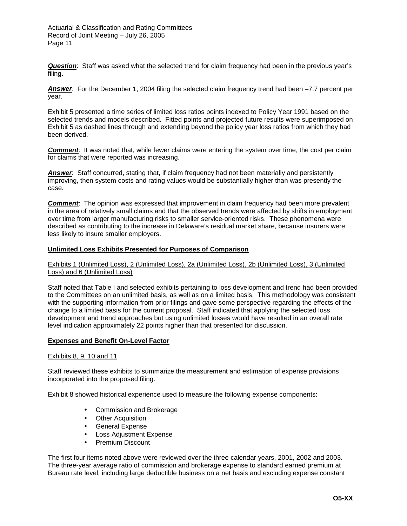*Question*: Staff was asked what the selected trend for claim frequency had been in the previous year's filing.

*Answer*: For the December 1, 2004 filing the selected claim frequency trend had been –7.7 percent per year.

Exhibit 5 presented a time series of limited loss ratios points indexed to Policy Year 1991 based on the selected trends and models described. Fitted points and projected future results were superimposed on Exhibit 5 as dashed lines through and extending beyond the policy year loss ratios from which they had been derived.

*Comment*: It was noted that, while fewer claims were entering the system over time, the cost per claim for claims that were reported was increasing.

**Answer:** Staff concurred, stating that, if claim frequency had not been materially and persistently improving, then system costs and rating values would be substantially higher than was presently the case.

*Comment*: The opinion was expressed that improvement in claim frequency had been more prevalent in the area of relatively small claims and that the observed trends were affected by shifts in employment over time from larger manufacturing risks to smaller service-oriented risks. These phenomena were described as contributing to the increase in Delaware's residual market share, because insurers were less likely to insure smaller employers.

## **Unlimited Loss Exhibits Presented for Purposes of Comparison**

Exhibits 1 (Unlimited Loss), 2 (Unlimited Loss), 2a (Unlimited Loss), 2b (Unlimited Loss), 3 (Unlimited Loss) and 6 (Unlimited Loss)

Staff noted that Table I and selected exhibits pertaining to loss development and trend had been provided to the Committees on an unlimited basis, as well as on a limited basis. This methodology was consistent with the supporting information from prior filings and gave some perspective regarding the effects of the change to a limited basis for the current proposal. Staff indicated that applying the selected loss development and trend approaches but using unlimited losses would have resulted in an overall rate level indication approximately 22 points higher than that presented for discussion.

### **Expenses and Benefit On-Level Factor**

Exhibits 8, 9, 10 and 11

Staff reviewed these exhibits to summarize the measurement and estimation of expense provisions incorporated into the proposed filing.

Exhibit 8 showed historical experience used to measure the following expense components:

- Commission and Brokerage
- Other Acquisition
- General Expense
- Loss Adjustment Expense
- Premium Discount

The first four items noted above were reviewed over the three calendar years, 2001, 2002 and 2003. The three-year average ratio of commission and brokerage expense to standard earned premium at Bureau rate level, including large deductible business on a net basis and excluding expense constant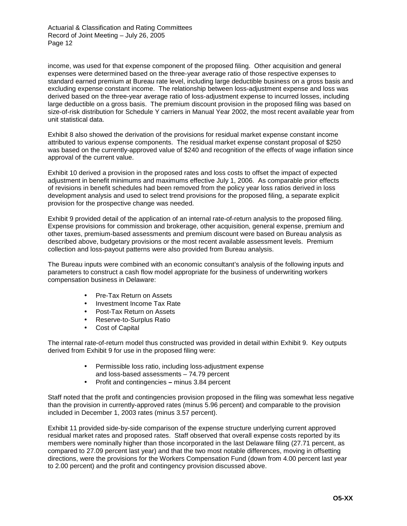income, was used for that expense component of the proposed filing. Other acquisition and general expenses were determined based on the three-year average ratio of those respective expenses to standard earned premium at Bureau rate level, including large deductible business on a gross basis and excluding expense constant income. The relationship between loss-adjustment expense and loss was derived based on the three-year average ratio of loss-adjustment expense to incurred losses, including large deductible on a gross basis. The premium discount provision in the proposed filing was based on size-of-risk distribution for Schedule Y carriers in Manual Year 2002, the most recent available year from unit statistical data.

Exhibit 8 also showed the derivation of the provisions for residual market expense constant income attributed to various expense components. The residual market expense constant proposal of \$250 was based on the currently-approved value of \$240 and recognition of the effects of wage inflation since approval of the current value.

Exhibit 10 derived a provision in the proposed rates and loss costs to offset the impact of expected adjustment in benefit minimums and maximums effective July 1, 2006. As comparable prior effects of revisions in benefit schedules had been removed from the policy year loss ratios derived in loss development analysis and used to select trend provisions for the proposed filing, a separate explicit provision for the prospective change was needed.

Exhibit 9 provided detail of the application of an internal rate-of-return analysis to the proposed filing. Expense provisions for commission and brokerage, other acquisition, general expense, premium and other taxes, premium-based assessments and premium discount were based on Bureau analysis as described above, budgetary provisions or the most recent available assessment levels. Premium collection and loss-payout patterns were also provided from Bureau analysis.

The Bureau inputs were combined with an economic consultant's analysis of the following inputs and parameters to construct a cash flow model appropriate for the business of underwriting workers compensation business in Delaware:

- Pre-Tax Return on Assets
- Investment Income Tax Rate
- Post-Tax Return on Assets
- Reserve-to-Surplus Ratio
- Cost of Capital

The internal rate-of-return model thus constructed was provided in detail within Exhibit 9. Key outputs derived from Exhibit 9 for use in the proposed filing were:

- Permissible loss ratio, including loss-adjustment expense and loss-based assessments – 74.79 percent
- Profit and contingencies **–** minus 3.84 percent

Staff noted that the profit and contingencies provision proposed in the filing was somewhat less negative than the provision in currently-approved rates (minus 5.96 percent) and comparable to the provision included in December 1, 2003 rates (minus 3.57 percent).

Exhibit 11 provided side-by-side comparison of the expense structure underlying current approved residual market rates and proposed rates. Staff observed that overall expense costs reported by its members were nominally higher than those incorporated in the last Delaware filing (27.71 percent, as compared to 27.09 percent last year) and that the two most notable differences, moving in offsetting directions, were the provisions for the Workers Compensation Fund (down from 4.00 percent last year to 2.00 percent) and the profit and contingency provision discussed above.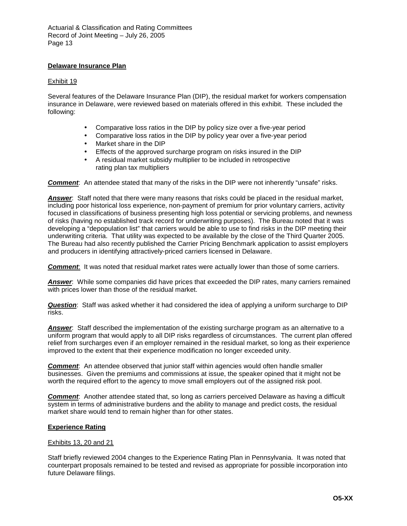# **Delaware Insurance Plan**

# Exhibit 19

Several features of the Delaware Insurance Plan (DIP), the residual market for workers compensation insurance in Delaware, were reviewed based on materials offered in this exhibit. These included the following:

- Comparative loss ratios in the DIP by policy size over a five-year period
- Comparative loss ratios in the DIP by policy year over a five-year period
- Market share in the DIP
- Effects of the approved surcharge program on risks insured in the DIP
- A residual market subsidy multiplier to be included in retrospective rating plan tax multipliers

*Comment*: An attendee stated that many of the risks in the DIP were not inherently "unsafe" risks.

*Answer*: Staff noted that there were many reasons that risks could be placed in the residual market, including poor historical loss experience, non-payment of premium for prior voluntary carriers, activity focused in classifications of business presenting high loss potential or servicing problems, and newness of risks (having no established track record for underwriting purposes). The Bureau noted that it was developing a "depopulation list" that carriers would be able to use to find risks in the DIP meeting their underwriting criteria. That utility was expected to be available by the close of the Third Quarter 2005. The Bureau had also recently published the Carrier Pricing Benchmark application to assist employers and producers in identifying attractively-priced carriers licensed in Delaware.

**Comment**: It was noted that residual market rates were actually lower than those of some carriers.

*Answer*: While some companies did have prices that exceeded the DIP rates, many carriers remained with prices lower than those of the residual market.

*Question*: Staff was asked whether it had considered the idea of applying a uniform surcharge to DIP risks.

*Answer*: Staff described the implementation of the existing surcharge program as an alternative to a uniform program that would apply to all DIP risks regardless of circumstances. The current plan offered relief from surcharges even if an employer remained in the residual market, so long as their experience improved to the extent that their experience modification no longer exceeded unity.

**Comment**: An attendee observed that junior staff within agencies would often handle smaller businesses. Given the premiums and commissions at issue, the speaker opined that it might not be worth the required effort to the agency to move small employers out of the assigned risk pool.

*Comment*: Another attendee stated that, so long as carriers perceived Delaware as having a difficult system in terms of administrative burdens and the ability to manage and predict costs, the residual market share would tend to remain higher than for other states.

# **Experience Rating**

# Exhibits 13, 20 and 21

Staff briefly reviewed 2004 changes to the Experience Rating Plan in Pennsylvania. It was noted that counterpart proposals remained to be tested and revised as appropriate for possible incorporation into future Delaware filings.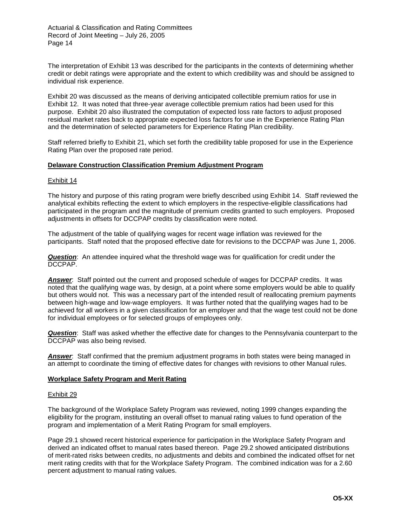The interpretation of Exhibit 13 was described for the participants in the contexts of determining whether credit or debit ratings were appropriate and the extent to which credibility was and should be assigned to individual risk experience.

Exhibit 20 was discussed as the means of deriving anticipated collectible premium ratios for use in Exhibit 12. It was noted that three-year average collectible premium ratios had been used for this purpose. Exhibit 20 also illustrated the computation of expected loss rate factors to adjust proposed residual market rates back to appropriate expected loss factors for use in the Experience Rating Plan and the determination of selected parameters for Experience Rating Plan credibility.

Staff referred briefly to Exhibit 21, which set forth the credibility table proposed for use in the Experience Rating Plan over the proposed rate period.

## **Delaware Construction Classification Premium Adjustment Program**

### Exhibit 14

The history and purpose of this rating program were briefly described using Exhibit 14. Staff reviewed the analytical exhibits reflecting the extent to which employers in the respective-eligible classifications had participated in the program and the magnitude of premium credits granted to such employers. Proposed adjustments in offsets for DCCPAP credits by classification were noted.

The adjustment of the table of qualifying wages for recent wage inflation was reviewed for the participants. Staff noted that the proposed effective date for revisions to the DCCPAP was June 1, 2006.

*Question*: An attendee inquired what the threshold wage was for qualification for credit under the DCCPAP.

*Answer*: Staff pointed out the current and proposed schedule of wages for DCCPAP credits. It was noted that the qualifying wage was, by design, at a point where some employers would be able to qualify but others would not. This was a necessary part of the intended result of reallocating premium payments between high-wage and low-wage employers. It was further noted that the qualifying wages had to be achieved for all workers in a given classification for an employer and that the wage test could not be done for individual employees or for selected groups of employees only.

*Question*: Staff was asked whether the effective date for changes to the Pennsylvania counterpart to the DCCPAP was also being revised.

*Answer*: Staff confirmed that the premium adjustment programs in both states were being managed in an attempt to coordinate the timing of effective dates for changes with revisions to other Manual rules.

### **Workplace Safety Program and Merit Rating**

### Exhibit 29

The background of the Workplace Safety Program was reviewed, noting 1999 changes expanding the eligibility for the program, instituting an overall offset to manual rating values to fund operation of the program and implementation of a Merit Rating Program for small employers.

Page 29.1 showed recent historical experience for participation in the Workplace Safety Program and derived an indicated offset to manual rates based thereon. Page 29.2 showed anticipated distributions of merit-rated risks between credits, no adjustments and debits and combined the indicated offset for net merit rating credits with that for the Workplace Safety Program. The combined indication was for a 2.60 percent adjustment to manual rating values.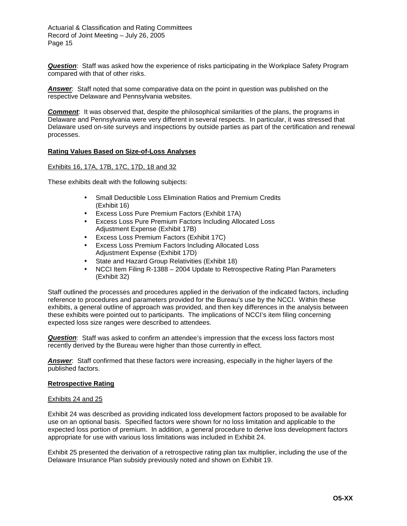*Question*: Staff was asked how the experience of risks participating in the Workplace Safety Program compared with that of other risks.

*Answer*: Staff noted that some comparative data on the point in question was published on the respective Delaware and Pennsylvania websites.

**Comment:** It was observed that, despite the philosophical similarities of the plans, the programs in Delaware and Pennsylvania were very different in several respects. In particular, it was stressed that Delaware used on-site surveys and inspections by outside parties as part of the certification and renewal processes.

## **Rating Values Based on Size-of-Loss Analyses**

## Exhibits 16, 17A, 17B, 17C, 17D, 18 and 32

These exhibits dealt with the following subjects:

- Small Deductible Loss Elimination Ratios and Premium Credits (Exhibit 16)
- Excess Loss Pure Premium Factors (Exhibit 17A)
- Excess Loss Pure Premium Factors Including Allocated Loss Adjustment Expense (Exhibit 17B)
- Excess Loss Premium Factors (Exhibit 17C)
- Excess Loss Premium Factors Including Allocated Loss Adjustment Expense (Exhibit 17D)
- State and Hazard Group Relativities (Exhibit 18)
- NCCI Item Filing R-1388 2004 Update to Retrospective Rating Plan Parameters (Exhibit 32)

Staff outlined the processes and procedures applied in the derivation of the indicated factors, including reference to procedures and parameters provided for the Bureau's use by the NCCI. Within these exhibits, a general outline of approach was provided, and then key differences in the analysis between these exhibits were pointed out to participants. The implications of NCCI's item filing concerning expected loss size ranges were described to attendees.

*Question*: Staff was asked to confirm an attendee's impression that the excess loss factors most recently derived by the Bureau were higher than those currently in effect.

*Answer*: Staff confirmed that these factors were increasing, especially in the higher layers of the published factors.

### **Retrospective Rating**

### Exhibits 24 and 25

Exhibit 24 was described as providing indicated loss development factors proposed to be available for use on an optional basis. Specified factors were shown for no loss limitation and applicable to the expected loss portion of premium. In addition, a general procedure to derive loss development factors appropriate for use with various loss limitations was included in Exhibit 24.

Exhibit 25 presented the derivation of a retrospective rating plan tax multiplier, including the use of the Delaware Insurance Plan subsidy previously noted and shown on Exhibit 19.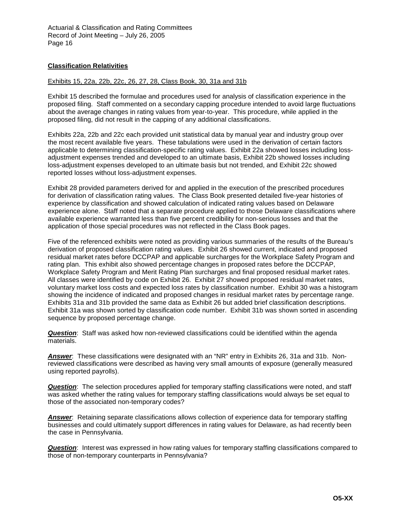# **Classification Relativities**

## Exhibits 15, 22a, 22b, 22c, 26, 27, 28, Class Book, 30, 31a and 31b

Exhibit 15 described the formulae and procedures used for analysis of classification experience in the proposed filing. Staff commented on a secondary capping procedure intended to avoid large fluctuations about the average changes in rating values from year-to-year. This procedure, while applied in the proposed filing, did not result in the capping of any additional classifications.

Exhibits 22a, 22b and 22c each provided unit statistical data by manual year and industry group over the most recent available five years. These tabulations were used in the derivation of certain factors applicable to determining classification-specific rating values. Exhibit 22a showed losses including lossadjustment expenses trended and developed to an ultimate basis, Exhibit 22b showed losses including loss-adjustment expenses developed to an ultimate basis but not trended, and Exhibit 22c showed reported losses without loss-adjustment expenses.

Exhibit 28 provided parameters derived for and applied in the execution of the prescribed procedures for derivation of classification rating values. The Class Book presented detailed five-year histories of experience by classification and showed calculation of indicated rating values based on Delaware experience alone. Staff noted that a separate procedure applied to those Delaware classifications where available experience warranted less than five percent credibility for non-serious losses and that the application of those special procedures was not reflected in the Class Book pages.

Five of the referenced exhibits were noted as providing various summaries of the results of the Bureau's derivation of proposed classification rating values. Exhibit 26 showed current, indicated and proposed residual market rates before DCCPAP and applicable surcharges for the Workplace Safety Program and rating plan. This exhibit also showed percentage changes in proposed rates before the DCCPAP, Workplace Safety Program and Merit Rating Plan surcharges and final proposed residual market rates. All classes were identified by code on Exhibit 26. Exhibit 27 showed proposed residual market rates, voluntary market loss costs and expected loss rates by classification number. Exhibit 30 was a histogram showing the incidence of indicated and proposed changes in residual market rates by percentage range. Exhibits 31a and 31b provided the same data as Exhibit 26 but added brief classification descriptions. Exhibit 31a was shown sorted by classification code number. Exhibit 31b was shown sorted in ascending sequence by proposed percentage change.

*Question*: Staff was asked how non-reviewed classifications could be identified within the agenda materials.

*Answer*: These classifications were designated with an "NR" entry in Exhibits 26, 31a and 31b. Nonreviewed classifications were described as having very small amounts of exposure (generally measured using reported payrolls).

**Question:** The selection procedures applied for temporary staffing classifications were noted, and staff was asked whether the rating values for temporary staffing classifications would always be set equal to those of the associated non-temporary codes?

*Answer*: Retaining separate classifications allows collection of experience data for temporary staffing businesses and could ultimately support differences in rating values for Delaware, as had recently been the case in Pennsylvania.

*Question*: Interest was expressed in how rating values for temporary staffing classifications compared to those of non-temporary counterparts in Pennsylvania?